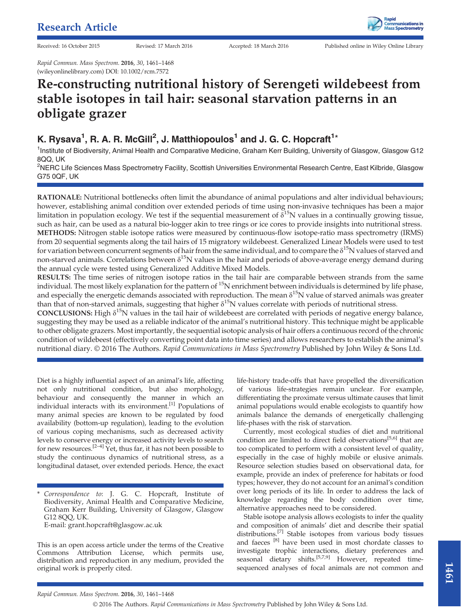Received: 16 October 2015 Revised: 17 March 2016 Accepted: 18 March 2016 Published online in Wiley Online Library

Rapid Commun. Mass Spectrom. 2016, 30, 1461–1468 (wileyonlinelibrary.com) DOI: 10.1002/rcm.7572

# Re-constructing nutritional history of Serengeti wildebeest from stable isotopes in tail hair: seasonal starvation patterns in an obligate grazer

# K. Rysava<sup>1</sup>, R. A. R. McGill<sup>2</sup>, J. Matthiopoulos<sup>1</sup> and J. G. C. Hopcraft<sup>1\*</sup>

<sup>1</sup>Institute of Biodiversity, Animal Health and Comparative Medicine, Graham Kerr Building, University of Glasgow, Glasgow G12 8QQ, UK

<sup>2</sup>NERC Life Sciences Mass Spectrometry Facility, Scottish Universities Environmental Research Centre, East Kilbride, Glasgow G75 0QF, UK

RATIONALE: Nutritional bottlenecks often limit the abundance of animal populations and alter individual behaviours; however, establishing animal condition over extended periods of time using non-invasive techniques has been a major limitation in population ecology. We test if the sequential measurement of  $\delta^{15}N$  values in a continually growing tissue, such as hair, can be used as a natural bio-logger akin to tree rings or ice cores to provide insights into nutritional stress. METHODS: Nitrogen stable isotope ratios were measured by continuous-flow isotope-ratio mass spectrometry (IRMS) from 20 sequential segments along the tail hairs of 15 migratory wildebeest. Generalized Linear Models were used to test for variation between concurrent segments of hair from the same individual, and to compare the  $\delta^{15}N$  values of starved and non-starved animals. Correlations between  $δ<sup>15</sup>N$  values in the hair and periods of above-average energy demand during the annual cycle were tested using Generalized Additive Mixed Models.

RESULTS: The time series of nitrogen isotope ratios in the tail hair are comparable between strands from the same individual. The most likely explanation for the pattern of <sup>15</sup>N enrichment between individuals is determined by life phase, and especially the energetic demands associated with reproduction. The mean  $\delta^{15}N$  value of starved animals was greater than that of non-starved animals, suggesting that higher  $\delta^{15}N$  values correlate with periods of nutritional stress.

CONCLUSIONS: High  $\delta^{15}N$  values in the tail hair of wildebeest are correlated with periods of negative energy balance, suggesting they may be used as a reliable indicator of the animal's nutritional history. This technique might be applicable to other obligate grazers. Most importantly, the sequential isotopic analysis of hair offers a continuous record of the chronic condition of wildebeest (effectively converting point data into time series) and allows researchers to establish the animal's nutritional diary. © 2016 The Authors. Rapid Communications in Mass Spectrometry Published by John Wiley & Sons Ltd.

Diet is a highly influential aspect of an animal's life, affecting not only nutritional condition, but also morphology, behaviour and consequently the manner in which an individual interacts with its environment.<sup>[1]</sup> Populations of many animal species are known to be regulated by food availability (bottom-up regulation), leading to the evolution of various coping mechanisms, such as decreased activity levels to conserve energy or increased activity levels to search for new resources.<sup>[2–4]</sup> Yet, thus far, it has not been possible to study the continuous dynamics of nutritional stress, as a longitudinal dataset, over extended periods. Hence, the exact

E-mail: grant.hopcraft@glasgow.ac.uk

This is an open access article under the terms of the [Creative](http://creativecommons.org/licenses/by/4.0/) [Commons Attribution](http://creativecommons.org/licenses/by/4.0/) License, which permits use, distribution and reproduction in any medium, provided the original work is properly cited.

life-history trade-offs that have propelled the diversification of various life-strategies remain unclear. For example, differentiating the proximate versus ultimate causes that limit animal populations would enable ecologists to quantify how animals balance the demands of energetically challenging life-phases with the risk of starvation.

Currently, most ecological studies of diet and nutritional condition are limited to direct field observations<sup>[5,6]</sup> that are too complicated to perform with a consistent level of quality, especially in the case of highly mobile or elusive animals. Resource selection studies based on observational data, for example, provide an index of preference for habitats or food types; however, they do not account for an animal's condition over long periods of its life. In order to address the lack of knowledge regarding the body condition over time, alternative approaches need to be considered.

Stable isotope analysis allows ecologists to infer the quality and composition of animals' diet and describe their spatial distributions.[7] Stable isotopes from various body tissues and faeces [8] have been used in most chordate classes to investigate trophic interactions, dietary preferences and seasonal dietary shifts.<sup>[5,7,9]</sup> However, repeated timesequenced analyses of focal animals are not common and

Correspondence to: J. G. C. Hopcraft, Institute of Biodiversity, Animal Health and Comparative Medicine, Graham Kerr Building, University of Glasgow, Glasgow G12 8QQ, UK.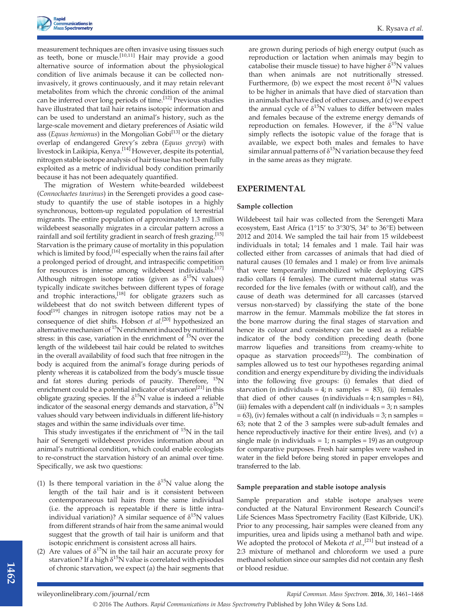measurement techniques are often invasive using tissues such as teeth, bone or muscle.<sup>[10,11]</sup> Hair may provide a good alternative source of information about the physiological condition of live animals because it can be collected noninvasively, it grows continuously, and it may retain relevant metabolites from which the chronic condition of the animal can be inferred over long periods of time.[12] Previous studies have illustrated that tail hair retains isotopic information and can be used to understand an animal's history, such as the large-scale movement and dietary preferences of Asiatic wild ass (Equus hemionus) in the Mongolian Gobi $[13]$  or the dietary overlap of endangered Grevy's zebra (Equus grevyi) with livestock in Laikipia, Kenya.[14] However, despite its potential, nitrogen stable isotope analysis of hair tissue has not been fully exploited as a metric of individual body condition primarily because it has not been adequately quantified.

The migration of Western white-bearded wildebeest (Connochaetes taurinus) in the Serengeti provides a good casestudy to quantify the use of stable isotopes in a highly synchronous, bottom-up regulated population of terrestrial migrants. The entire population of approximately 1.3 million wildebeest seasonally migrates in a circular pattern across a rainfall and soil fertility gradient in search of fresh grazing.<sup>[15]</sup> Starvation is the primary cause of mortality in this population which is limited by  $food<sub>r</sub><sup>[16]</sup>$  especially when the rains fail after a prolonged period of drought, and intraspecific competition for resources is intense among wildebeest individuals.<sup>[17]</sup> Although nitrogen isotope ratios (given as  $\delta^{15}N$  values) typically indicate switches between different types of forage and trophic interactions, $^{[18]}$  for obligate grazers such as wildebeest that do not switch between different types of food<sup>[19]</sup> changes in nitrogen isotope ratios may not be a consequence of diet shifts. Hobson  $et$  al.<sup>[20]</sup> hypothesized an alternative mechanism of <sup>15</sup>N enrichment induced by nutritional stress: in this case, variation in the enrichment of  ${}^{15}N$  over the length of the wildebeest tail hair could be related to switches in the overall availability of food such that free nitrogen in the body is acquired from the animal's forage during periods of plenty whereas it is catabolized from the body's muscle tissue and fat stores during periods of paucity. Therefore, <sup>15</sup>N enrichment could be a potential indicator of starvation<sup>[21]</sup> in this obligate grazing species. If the  $\delta^{15}N$  value is indeed a reliable indicator of the seasonal energy demands and starvation,  $\delta^{15}N$ values should vary between individuals in different life-history stages and within the same individuals over time.

This study investigates if the enrichment of  $\rm ^{15}N$  in the tail hair of Serengeti wildebeest provides information about an animal's nutritional condition, which could enable ecologists to re-construct the starvation history of an animal over time. Specifically, we ask two questions:

- (1) Is there temporal variation in the  $\delta^{15}N$  value along the length of the tail hair and is it consistent between contemporaneous tail hairs from the same individual (i.e. the approach is repeatable if there is little intraindividual variation)? A similar sequence of  $\delta^{15}N$  values from different strands of hair from the same animal would suggest that the growth of tail hair is uniform and that isotopic enrichment is consistent across all hairs.
- (2) Are values of  $\delta^{15}N$  in the tail hair an accurate proxy for starvation? If a high  $\delta^{15}N$  value is correlated with episodes of chronic starvation, we expect (a) the hair segments that

are grown during periods of high energy output (such as reproduction or lactation when animals may begin to catabolise their muscle tissue) to have higher  $\delta^{15}N$  values than when animals are not nutritionally stressed. Furthermore, (b) we expect the most recent  $\delta^{15}N$  values to be higher in animals that have died of starvation than in animals that have died of other causes, and (c) we expect the annual cycle of  $\delta^{15}N$  values to differ between males and females because of the extreme energy demands of reproduction on females. However, if the  $\delta^{15}N$  value simply reflects the isotopic value of the forage that is available, we expect both males and females to have similar annual patterns of  $\delta^{15}N$  variation because they feed in the same areas as they migrate.

# EXPERIMENTAL

#### Sample collection

Wildebeest tail hair was collected from the Serengeti Mara ecosystem, East Africa (1°15' to 3°30'S, 34° to 36°E) between 2012 and 2014. We sampled the tail hair from 15 wildebeest individuals in total; 14 females and 1 male. Tail hair was collected either from carcasses of animals that had died of natural causes (10 females and 1 male) or from live animals that were temporarily immobilized while deploying GPS radio collars (4 females). The current maternal status was recorded for the live females (with or without calf), and the cause of death was determined for all carcasses (starved versus non-starved) by classifying the state of the bone marrow in the femur. Mammals mobilize the fat stores in the bone marrow during the final stages of starvation and hence its colour and consistency can be used as a reliable indicator of the body condition preceding death (bone marrow liquefies and transitions from creamy-white to opaque as starvation proceeds<sup>[22]</sup>). The combination of samples allowed us to test our hypotheses regarding animal condition and energy expenditure by dividing the individuals into the following five groups: (i) females that died of starvation (n individuals = 4; n samples = 83), (ii) females that died of other causes (n individuals =  $4$ ; n samples =  $84$ ), (iii) females with a dependent calf (n individuals  $=$  3; n samples  $= 63$ , (iv) females without a calf (n individuals  $= 3$ ; n samples  $=$ 63; note that 2 of the 3 samples were sub-adult females and hence reproductively inactive for their entire lives), and (v) a single male (n individuals = 1; n samples = 19) as an outgroup for comparative purposes. Fresh hair samples were washed in water in the field before being stored in paper envelopes and transferred to the lab.

#### Sample preparation and stable isotope analysis

Sample preparation and stable isotope analyses were conducted at the Natural Environment Research Council's Life Sciences Mass Spectrometry Facility (East Kilbride, UK). Prior to any processing, hair samples were cleaned from any impurities, urea and lipids using a methanol bath and wipe. We adopted the protocol of Mekota et al.,<sup>[21]</sup> but instead of a 2:3 mixture of methanol and chloroform we used a pure methanol solution since our samples did not contain any flesh or blood residue.

<sup>© 2016</sup> The Authors. Rapid Communications in Mass Spectrometry Published by John Wiley & Sons Ltd.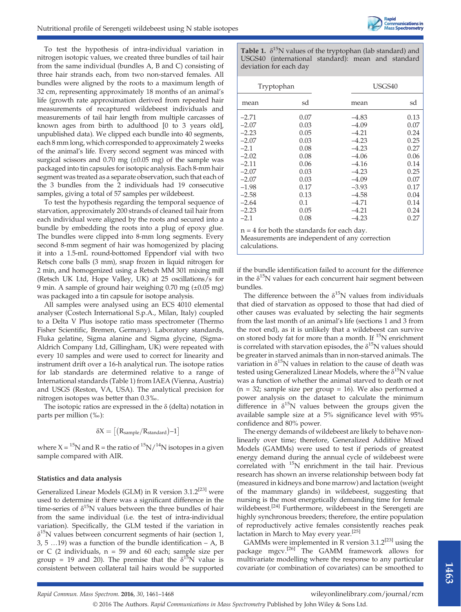

To test the hypothesis of intra-individual variation in nitrogen isotopic values, we created three bundles of tail hair from the same individual (bundles A, B and C) consisting of three hair strands each, from two non-starved females. All bundles were aligned by the roots to a maximum length of 32 cm, representing approximately 18 months of an animal's life (growth rate approximation derived from repeated hair measurements of recaptured wildebeest individuals and measurements of tail hair length from multiple carcasses of known ages from birth to adulthood [0 to 3 years old], unpublished data). We clipped each bundle into 40 segments, each 8 mm long, which corresponded to approximately 2 weeks of the animal's life. Every second segment was minced with surgical scissors and  $0.70$  mg ( $\pm 0.05$  mg) of the sample was packaged into tin capsules for isotopic analysis. Each 8-mm hair segment was treated as a separate observation, such that each of the 3 bundles from the 2 individuals had 19 consecutive samples, giving a total of 57 samples per wildebeest.

To test the hypothesis regarding the temporal sequence of starvation, approximately 200 strands of cleaned tail hair from each individual were aligned by the roots and secured into a bundle by embedding the roots into a plug of epoxy glue. The bundles were clipped into 8-mm long segments. Every second 8-mm segment of hair was homogenized by placing it into a 1.5-mL round-bottomed Eppendorf vial with two Retsch cone balls (3 mm), snap frozen in liquid nitrogen for 2 min, and homogenized using a Retsch MM 301 mixing mill (Retsch UK Ltd, Hope Valley, UK) at 25 oscillations/s for 9 min. A sample of ground hair weighing 0.70 mg (±0.05 mg) was packaged into a tin capsule for isotope analysis.

All samples were analysed using an ECS 4010 elemental analyser (Costech International S.p.A., Milan, Italy) coupled to a Delta V Plus isotope ratio mass spectrometer (Thermo Fisher Scientific, Bremen, Germany). Laboratory standards, Fluka gelatine, Sigma alanine and Sigma glycine, (Sigma-Aldrich Company Ltd, Gillingham, UK) were repeated with every 10 samples and were used to correct for linearity and instrument drift over a 16-h analytical run. The isotope ratios for lab standards are determined relative to a range of International standards (Table 1) from IAEA (Vienna, Austria) and USGS (Reston, VA, USA). The analytical precision for nitrogen isotopes was better than 0.3‰.

The isotopic ratios are expressed in the  $\delta$  (delta) notation in parts per million (‰):

$$
\delta X = \left[\left(R_{sample}/R_{standard}\right)\text{--}1\right]
$$

where  $X = {}^{15}N$  and R = the ratio of  ${}^{15}N/{}^{14}N$  isotopes in a given sample compared with AIR.

#### Statistics and data analysis

Generalized Linear Models (GLM) in R version  $3.1.2^{[23]}$  were used to determine if there was a significant difference in the time-series of  $\delta^{15}N$  values between the three bundles of hair from the same individual (i.e. the test of intra-individual variation). Specifically, the GLM tested if the variation in  $\delta^{15}$ N values between concurrent segments of hair (section 1, 3, 5 …19) was a function of the bundle identification – A, B or C (2 individuals,  $n = 59$  and 60 each; sample size per group = 19 and 20). The premise that the  $\delta^{15}$ N value is consistent between collateral tail hairs would be supported **Table 1.**  $\delta^{15}$ N values of the tryptophan (lab standard) and USGS40 (international standard): mean and standard deviation for each day

| Tryptophan                                                                                                      |      | USGS40  |      |
|-----------------------------------------------------------------------------------------------------------------|------|---------|------|
| mean                                                                                                            | sd   | mean    | sd   |
| $-2.71$                                                                                                         | 0.07 | $-4.83$ | 0.13 |
| $-2.07$                                                                                                         | 0.03 | -4.09   | 0.07 |
| $-2.23$                                                                                                         | 0.05 | $-4.21$ | 0.24 |
| $-2.07$                                                                                                         | 0.03 | $-4.23$ | 0.25 |
| $-2.1$                                                                                                          | 0.08 | $-4.23$ | 0.27 |
| $-2.02$                                                                                                         | 0.08 | $-4.06$ | 0.06 |
| $-2.11$                                                                                                         | 0.06 | $-4.16$ | 0.14 |
| $-2.07$                                                                                                         | 0.03 | $-4.23$ | 0.25 |
| $-2.07$                                                                                                         | 0.03 | $-4.09$ | 0.07 |
| $-1.98$                                                                                                         | 0.17 | $-3.93$ | 0.17 |
| $-2.58$                                                                                                         | 0.13 | $-4.58$ | 0.04 |
| $-2.64$                                                                                                         | 0.1  | $-4.71$ | 0.14 |
| $-2.23$                                                                                                         | 0.05 | $-4.21$ | 0.24 |
| $-2.1$                                                                                                          | 0.08 | $-4.23$ | 0.27 |
| $n = 4$ for both the standards for each day.<br>Measurements are independent of any correction<br>calculations. |      |         |      |

if the bundle identification failed to account for the difference in the  $\delta^{15}N$  values for each concurrent hair segment between bundles.

The difference between the  $\delta^{15}N$  values from individuals that died of starvation as opposed to those that had died of other causes was evaluated by selecting the hair segments from the last month of an animal's life (sections 1 and 3 from the root end), as it is unlikely that a wildebeest can survive on stored body fat for more than a month. If 15N enrichment is correlated with starvation episodes, the  $\delta^{15}N$  values should be greater in starved animals than in non-starved animals. The variation in  $\delta^{15}N$  values in relation to the cause of death was tested using Generalized Linear Models, where the  $\delta^{15}N$  value was a function of whether the animal starved to death or not  $(n = 32;$  sample size per group = 16). We also performed a power analysis on the dataset to calculate the minimum difference in  $\delta^{15}N$  values between the groups given the available sample size at a 5% significance level with 95% confidence and 80% power.

The energy demands of wildebeest are likely to behave nonlinearly over time; therefore, Generalized Additive Mixed Models (GAMMs) were used to test if periods of greatest energy demand during the annual cycle of wildebeest were correlated with 15N enrichment in the tail hair. Previous research has shown an inverse relationship between body fat (measured in kidneys and bone marrow) and lactation (weight of the mammary glands) in wildebeest, suggesting that nursing is the most energetically demanding time for female wildebeest.[24] Furthermore, wildebeest in the Serengeti are highly synchronous breeders; therefore, the entire population of reproductively active females consistently reaches peak lactation in March to May every year.[25]

GAMMs were implemented in R version  $3.1.2^{[23]}$  using the package mgcv.<sup>[26]</sup> The GAMM framework allows for multivariate modelling where the response to any particular covariate (or combination of covariates) can be smoothed to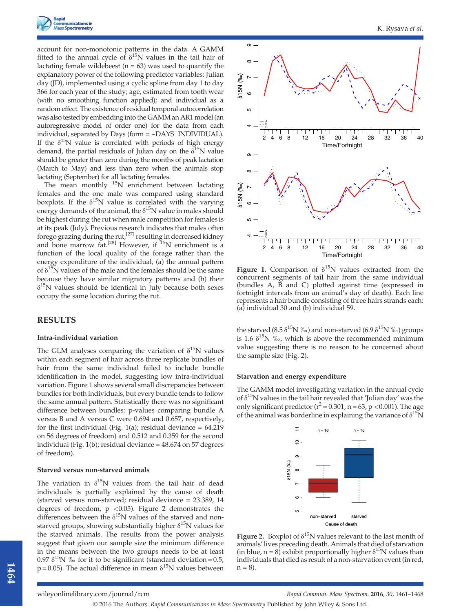account for non-monotonic patterns in the data. A GAMM fitted to the annual cycle of  $\delta^{15}N$  values in the tail hair of lactating female wildebeest ( $n = 63$ ) was used to quantify the explanatory power of the following predictor variables: Julian day (JD), implemented using a cyclic spline from day 1 to day 366 for each year of the study; age, estimated from tooth wear (with no smoothing function applied); and individual as a random effect. The existence of residual temporal autocorrelation was also tested by embedding into the GAMM an AR1 model (an autoregressive model of order one) for the data from each individual, separated by Days (form = ~DAYS|INDIVIDUAL). If the  $\delta^{15}N$  value is correlated with periods of high energy demand, the partial residuals of Julian day on the  $\delta^{15}N$  value should be greater than zero during the months of peak lactation (March to May) and less than zero when the animals stop lactating (September) for all lactating females.

The mean monthly  $15N$  enrichment between lactating females and the one male was compared using standard boxplots. If the  $\delta^{15}N$  value is correlated with the varying energy demands of the animal, the  $\delta^{15}N$  value in males should be highest during the rut when male competition for females is at its peak (July). Previous research indicates that males often forego grazing during the rut,<sup>[27]</sup> resulting in decreased kidney and bone marrow fat.<sup>[28]</sup> However, if  $15$ N enrichment is a function of the local quality of the forage rather than the energy expenditure of the individual, (a) the annual pattern of  $\delta^{15}$ N values of the male and the females should be the same because they have similar migratory patterns and (b) their  $\delta^{15}$ N values should be identical in July because both sexes occupy the same location during the rut.

# RESULTS

#### Intra-individual variation

The GLM analyses comparing the variation of  $\delta^{15}N$  values within each segment of hair across three replicate bundles of hair from the same individual failed to include bundle identification in the model, suggesting low intra-individual variation. Figure 1 shows several small discrepancies between bundles for both individuals, but every bundle tends to follow the same annual pattern. Statistically there was no significant difference between bundles: p-values comparing bundle A versus B and A versus C were 0.694 and 0.657, respectively, for the first individual (Fig. 1(a); residual deviance  $= 64.219$ on 56 degrees of freedom) and 0.512 and 0.359 for the second individual (Fig. 1(b); residual deviance  $= 48.674$  on 57 degrees of freedom).

#### Starved versus non-starved animals

The variation in  $\delta^{15}N$  values from the tail hair of dead individuals is partially explained by the cause of death (starved versus non-starved; residual deviance = 23.389, 14 degrees of freedom,  $p \leq 0.05$ ). Figure 2 demonstrates the differences between the  $\delta^{15}N$  values of the starved and nonstarved groups, showing substantially higher  $\delta^{15}N$  values for the starved animals. The results from the power analysis suggest that given our sample size the minimum difference in the means between the two groups needs to be at least 0.97  $\delta^{15}$ N ‰ for it to be significant (standard deviation = 0.5,  $p = 0.05$ ). The actual difference in mean  $\delta^{15}$ N values between



Figure 1. Comparison of  $\delta^{15}N$  values extracted from the concurrent segments of tail hair from the same individual (bundles A, B and C) plotted against time (expressed in fortnight intervals from an animal's day of death). Each line represents a hair bundle consisting of three hairs strands each: (a) individual 30 and (b) individual 59.

the starved (8.5  $\delta^{15}N$  ‰) and non-starved (6.9  $\delta^{15}N$  ‰) groups is 1.6  $\delta^{15}$ N ‰, which is above the recommended minimum value suggesting there is no reason to be concerned about the sample size (Fig. 2).

#### Starvation and energy expenditure

The GAMM model investigating variation in the annual cycle of  $\delta^{15}N$  values in the tail hair revealed that 'Julian day' was the only significant predictor ( $r^2$  = 0.301, n = 63, p <0.001). The age of the animal was borderline in explaining the variance of  $\delta^{15}N$ 



Figure 2. Boxplot of  $\delta^{15}N$  values relevant to the last month of animals' lives preceding death. Animals that died of starvation (in blue,  $n = 8$ ) exhibit proportionally higher  $\delta^{15}N$  values than individuals that died as result of a non-starvation event (in red,  $n = 8$ ).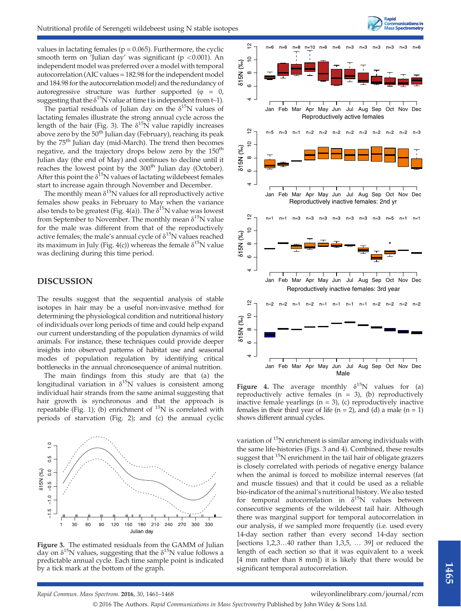values in lactating females ( $p = 0.065$ ). Furthermore, the cyclic smooth term on 'Julian day' was significant ( $p < 0.001$ ). An independent model was preferred over a model with temporal autocorrelation (AIC values = 182.98 for the independent model and 184.98 for the autocorrelation model) and the redundancy of autoregressive structure was further supported ( $\varphi = 0$ , suggesting that the  $\delta^{15}N$  value at time t is independent from t–1).

The partial residuals of Julian day on the  $\delta^{15}N$  values of lactating females illustrate the strong annual cycle across the length of the hair (Fig. 3). The  $\delta^{15}$ N value rapidly increases above zero by the  $50<sup>th</sup>$  Julian day (February), reaching its peak by the 75<sup>th</sup> Julian day (mid-March). The trend then becomes negative, and the trajectory drops below zero by the 150<sup>th</sup> Julian day (the end of May) and continues to decline until it reaches the lowest point by the 300<sup>th</sup> Julian day (October). After this point the  $\delta^{15}N$  values of lactating wildebeest females start to increase again through November and December.

The monthly mean  $\delta^{15}N$  values for all reproductively active females show peaks in February to May when the variance also tends to be greatest (Fig. 4(a)). The  $\delta^{15}N$  value was lowest from September to November. The monthly mean  $\delta^{15}N$  value for the male was different from that of the reproductively active females; the male's annual cycle of  $\delta^{15}N$  values reached its maximum in July (Fig. 4(c)) whereas the female  $\delta^{15}N$  value was declining during this time period.

#### DISCUSSION

The results suggest that the sequential analysis of stable isotopes in hair may be a useful non-invasive method for determining the physiological condition and nutritional history of individuals over long periods of time and could help expand our current understanding of the population dynamics of wild animals. For instance, these techniques could provide deeper insights into observed patterns of habitat use and seasonal modes of population regulation by identifying critical bottlenecks in the annual chronosequence of animal nutrition.

The main findings from this study are that (a) the longitudinal variation in  $\delta^{15}N$  values is consistent among individual hair strands from the same animal suggesting that hair growth is synchronous and that the approach is repeatable (Fig. 1); (b) enrichment of  $^{15}N$  is correlated with periods of starvation (Fig. 2); and (c) the annual cyclic



Figure 3. The estimated residuals from the GAMM of Julian day on  $\delta^{15}N$  values, suggesting that the  $\delta^{15}N$  value follows a predictable annual cycle. Each time sample point is indicated by a tick mark at the bottom of the graph.



Figure 4. The average monthly  $\delta^{15}N$  values for (a) reproductively active females  $(n = 3)$ , (b) reproductively inactive female yearlings  $(n = 3)$ , (c) reproductively inactive females in their third year of life  $(n = 2)$ , and  $(d)$  a male  $(n = 1)$ shows different annual cycles.

variation of  $15N$  enrichment is similar among individuals with the same life-histories (Figs. 3 and 4). Combined, these results suggest that <sup>15</sup>N enrichment in the tail hair of obligate grazers is closely correlated with periods of negative energy balance when the animal is forced to mobilize internal reserves (fat and muscle tissues) and that it could be used as a reliable bio-indicator of the animal's nutritional history. We also tested for temporal autocorrelation in  $\delta^{15}N$  values between consecutive segments of the wildebeest tail hair. Although there was marginal support for temporal autocorrelation in our analysis, if we sampled more frequently (i.e. used every 14-day section rather than every second 14-day section [sections 1,2,3…40 rather than 1,3,5, … 39] or reduced the length of each section so that it was equivalent to a week [4 mm rather than 8 mm]) it is likely that there would be significant temporal autocorrelation.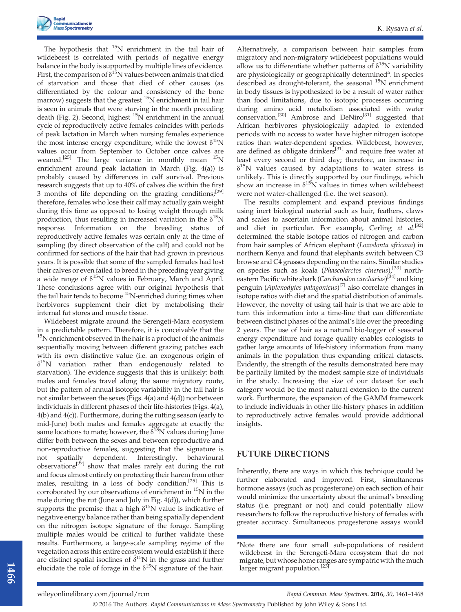The hypothesis that  $15N$  enrichment in the tail hair of wildebeest is correlated with periods of negative energy balance in the body is supported by multiple lines of evidence. First, the comparison of  $\delta^{15}N$  values between animals that died of starvation and those that died of other causes (as differentiated by the colour and consistency of the bone marrow) suggests that the greatest <sup>15</sup>N enrichment in tail hair is seen in animals that were starving in the month preceding death (Fig. 2). Second, highest <sup>15</sup>N enrichment in the annual cycle of reproductively active females coincides with periods of peak lactation in March when nursing females experience the most intense energy expenditure, while the lowest  $\delta^{15}N$ values occur from September to October once calves are weaned.<sup>[25]</sup> The large variance in monthly mean  $^{15}N$ enrichment around peak lactation in March (Fig. 4(a)) is probably caused by differences in calf survival. Previous research suggests that up to 40% of calves die within the first 3 months of life depending on the grazing conditions; $[29]$ therefore, females who lose their calf may actually gain weight during this time as opposed to losing weight through milk production, thus resulting in increased variation in the  $\delta^{15}N$ response. Information on the breeding status of reproductively active females was certain only at the time of sampling (by direct observation of the calf) and could not be confirmed for sections of the hair that had grown in previous years. It is possible that some of the sampled females had lost their calves or even failed to breed in the preceding year giving a wide range of  $\delta^{15}N$  values in February, March and April. These conclusions agree with our original hypothesis that the tail hair tends to become <sup>15</sup>N-enriched during times when herbivores supplement their diet by metabolising their internal fat stores and muscle tissue.

Wildebeest migrate around the Serengeti-Mara ecosystem in a predictable pattern. Therefore, it is conceivable that the <sup>15</sup>N enrichment observed in the hair is a product of the animals sequentially moving between different grazing patches each with its own distinctive value (i.e. an exogenous origin of  $\delta^{15}$ N variation rather than endogenously related to starvation). The evidence suggests that this is unlikely: both males and females travel along the same migratory route, but the pattern of annual isotopic variability in the tail hair is not similar between the sexes (Figs. 4(a) and 4(d)) nor between individuals in different phases of their life-histories (Figs. 4(a), 4(b) and 4(c)). Furthermore, during the rutting season (early to mid-June) both males and females aggregate at exactly the same locations to mate; however, the  $\delta^{15}N$  values during June differ both between the sexes and between reproductive and non-reproductive females, suggesting that the signature is not spatially dependent. Interestingly, behavioural observations<sup>[27]</sup> show that males rarely eat during the rut and focus almost entirely on protecting their harem from other males, resulting in a loss of body condition.[25] This is corroborated by our observations of enrichment in  $^{15}N$  in the male during the rut (June and July in Fig. 4(d)), which further supports the premise that a high  $\delta^{15}N$  value is indicative of negative energy balance rather than being spatially dependent on the nitrogen isotope signature of the forage. Sampling multiple males would be critical to further validate these results. Furthermore, a large-scale sampling regime of the vegetation across this entire ecosystem would establish if there are distinct spatial isoclines of  $\delta^{15}N$  in the grass and further elucidate the role of forage in the  $\delta^{15}N$  signature of the hair.

Alternatively, a comparison between hair samples from migratory and non-migratory wildebeest populations would allow us to differentiate whether patterns of  $\delta^{15}N$  variability are physiologically or geographically determined<sup>a</sup>. In species described as drought-tolerant, the seasonal <sup>15</sup>N enrichment in body tissues is hypothesized to be a result of water rather than food limitations, due to isotopic processes occurring during amino acid metabolism associated with water conservation.<sup>[30]</sup> Ambrose and DeNiro<sup>[31]</sup> suggested that African herbivores physiologically adapted to extended periods with no access to water have higher nitrogen isotope ratios than water-dependent species. Wildebeest, however, are defined as obligate drinkers<sup>[31]</sup> and require free water at least every second or third day; therefore, an increase in  $\delta^{15}$ N values caused by adaptations to water stress is unlikely. This is directly supported by our findings, which show an increase in  $\delta^{15}N$  values in times when wildebeest were not water-challenged (i.e. the wet season).

The results complement and expand previous findings using inert biological material such as hair, feathers, claws and scales to ascertain information about animal histories, and diet in particular. For example, Cerling et al.<sup>[32]</sup> determined the stable isotope ratios of nitrogen and carbon from hair samples of African elephant (Loxodonta africana) in northern Kenya and found that elephants switch between C3 browse and C4 grasses depending on the rains. Similar studies on species such as koala (Phascolarctos cinereus),<sup>[33]</sup> northeastern Pacific white shark (Carcharodon carcharias)<sup>[34]</sup> and king penguin (Aptenodytes patagonicus)<sup>[7]</sup> also correlate changes in isotope ratios with diet and the spatial distribution of animals. However, the novelty of using tail hair is that we are able to turn this information into a time-line that can differentiate between distinct phases of the animal's life over the preceding 2 years. The use of hair as a natural bio-logger of seasonal energy expenditure and forage quality enables ecologists to gather large amounts of life-history information from many animals in the population thus expanding critical datasets. Evidently, the strength of the results demonstrated here may be partially limited by the modest sample size of individuals in the study. Increasing the size of our dataset for each category would be the most natural extension to the current work. Furthermore, the expansion of the GAMM framework to include individuals in other life-history phases in addition to reproductively active females would provide additional insights.

# FUTURE DIRECTIONS

Inherently, there are ways in which this technique could be further elaborated and improved. First, simultaneous hormone assays (such as progesterone) on each section of hair would minimize the uncertainty about the animal's breeding status (i.e. pregnant or not) and could potentially allow researchers to follow the reproductive history of females with greater accuracy. Simultaneous progesterone assays would

<sup>a</sup>Note there are four small sub-populations of resident wildebeest in the Serengeti-Mara ecosystem that do not migrate, but whose home ranges are sympatric with the much<br>larger migrant population.<sup>[23]</sup>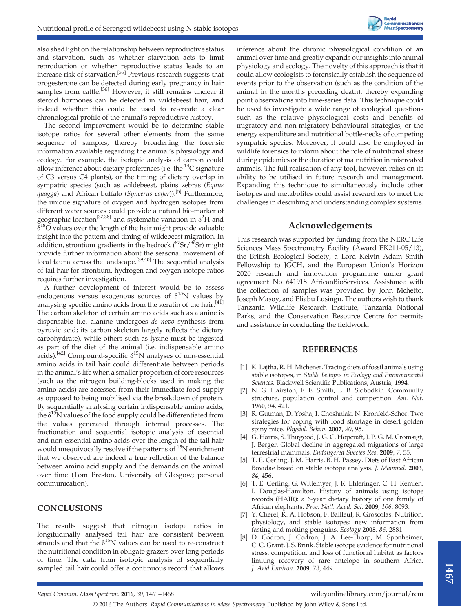

also shed light on the relationship between reproductive status and starvation, such as whether starvation acts to limit reproduction or whether reproductive status leads to an increase risk of starvation.[35] Previous research suggests that progesterone can be detected during early pregnancy in hair samples from cattle.<sup>[36]</sup> However, it still remains unclear if steroid hormones can be detected in wildebeest hair, and indeed whether this could be used to re-create a clear chronological profile of the animal's reproductive history.

The second improvement would be to determine stable isotope ratios for several other elements from the same sequence of samples, thereby broadening the forensic information available regarding the animal's physiology and ecology. For example, the isotopic analysis of carbon could allow inference about dietary preferences (i.e. the  $^{14}C$  signature of C3 versus C4 plants), or the timing of dietary overlap in sympatric species (such as wildebeest, plains zebras (Equus quagga) and African buffalo (Syncerus caffer)).<sup>[5]</sup> Furthermore, the unique signature of oxygen and hydrogen isotopes from different water sources could provide a natural bio-marker of geographic location<sup>[37,38]</sup> and systematic variation in  $\delta^2$ H and  $\delta^{18}$ O values over the length of the hair might provide valuable insight into the pattern and timing of wildebeest migration. In addition, strontium gradients in the bedrock  $(^{87}Sr/^{86}Sr)$  might provide further information about the seasonal movement of local fauna across the landscape.<sup>[39,40]</sup> The sequential analysis of tail hair for strontium, hydrogen and oxygen isotope ratios requires further investigation.

A further development of interest would be to assess endogenous versus exogenous sources of  $\delta^{15}N$  values by analysing specific amino acids from the keratin of the hair.<sup>[41]</sup> The carbon skeleton of certain amino acids such as alanine is dispensable (i.e. alanine undergoes de novo synthesis from pyruvic acid; its carbon skeleton largely reflects the dietary carbohydrate), while others such as lysine must be ingested as part of the diet of the animal (i.e. indispensable amino acids).<sup>[42]</sup> Compound-specific  $\delta^{15}N$  analyses of non-essential amino acids in tail hair could differentiate between periods in the animal's life when a smaller proportion of core resources (such as the nitrogen building-blocks used in making the amino acids) are accessed from their immediate food supply as opposed to being mobilised via the breakdown of protein. By sequentially analysing certain indispensable amino acids, the  $\delta^{15}N$  values of the food supply could be differentiated from the values generated through internal processes. The fractionation and sequential isotopic analysis of essential and non-essential amino acids over the length of the tail hair would unequivocally resolve if the patterns of  $^{15}N$  enrichment that we observed are indeed a true reflection of the balance between amino acid supply and the demands on the animal over time (Tom Preston, University of Glasgow; personal communication).

#### CONCLUSIONS

The results suggest that nitrogen isotope ratios in longitudinally analysed tail hair are consistent between strands and that the  $\delta^{15}N$  values can be used to re-construct the nutritional condition in obligate grazers over long periods of time. The data from isotopic analysis of sequentially sampled tail hair could offer a continuous record that allows

inference about the chronic physiological condition of an animal over time and greatly expands our insights into animal physiology and ecology. The novelty of this approach is that it could allow ecologists to forensically establish the sequence of events prior to the observation (such as the condition of the animal in the months preceding death), thereby expanding point observations into time-series data. This technique could be used to investigate a wide range of ecological questions such as the relative physiological costs and benefits of migratory and non-migratory behavioural strategies, or the energy expenditure and nutritional bottle-necks of competing sympatric species. Moreover, it could also be employed in wildlife forensics to inform about the role of nutritional stress during epidemics or the duration of malnutrition in mistreated animals. The full realisation of any tool, however, relies on its ability to be utilised in future research and management. Expanding this technique to simultaneously include other isotopes and metabolites could assist researchers to meet the challenges in describing and understanding complex systems.

# Acknowledgements

This research was supported by funding from the NERC Life Sciences Mass Spectrometry Facility (Award EK211-05/13), the British Ecological Society, a Lord Kelvin Adam Smith Fellowship to JGCH, and the European Union's Horizon 2020 research and innovation programme under grant agreement No 641918 AfricanBioServices. Assistance with the collection of samples was provided by John Mchetto, Joseph Masoy, and Eliabu Lusingu. The authors wish to thank Tanzania Wildlife Research Institute, Tanzania National Parks, and the Conservation Resource Centre for permits and assistance in conducting the fieldwork.

#### REFERENCES

- [1] K. Lajtha, R. H. Michener. Tracing diets of fossil animals using stable isotopes, in Stable Isotopes in Ecology and Environmental Sciences. Blackwell Scientific Publications, Austria, 1994.
- [2] N. G. Hairston, F. E. Smith, L. B. Slobodkin. Community structure, population control and competition. Am. Nat. 1960, 94, 421.
- [3] R. Gutman, D. Yosha, I. Choshniak, N. Kronfeld-Schor. Two strategies for coping with food shortage in desert golden spiny mice. Physiol. Behav. 2007, 90, 95.
- [4] G. Harris, S. Thirgood, J. G. C. Hopcraft, J. P. G. M. Cromsigt, J. Berger. Global decline in aggregated migrations of large terrestrial mammals. Endangered Species Res. 2009, 7, 55.
- [5] T. E. Cerling, J. M. Harris, B. H. Passey. Diets of East African Bovidae based on stable isotope analysis. J. Mammal. 2003, 84, 456.
- [6] T. E. Cerling, G. Wittemyer, J. R. Ehleringer, C. H. Remien, I. Douglas-Hamilton. History of animals using isotope records (HAIR): a 6-year dietary history of one family of African elephants. Proc. Natl. Acad. Sci. 2009, 106, 8093.
- [7] Y. Cherel, K. A. Hobson, F. Bailleul, R. Groscolas. Nutrition, physiology, and stable isotopes: new information from fasting and molting penguins. Ecology 2005, 86, 2881.
- [8] D. Codron, J. Codron, J. A. Lee-Thorp, M. Sponheimer, C. C. Grant, J. S. Brink. Stable isotope evidence for nutritional stress, competition, and loss of functional habitat as factors limiting recovery of rare antelope in southern Africa. J. Arid Environ. 2009, 73, 449.

Rapid Commun. Mass Spectrom. 2016, 30, 1461–1468

wileyonlinelibrary.com/journal/rcm